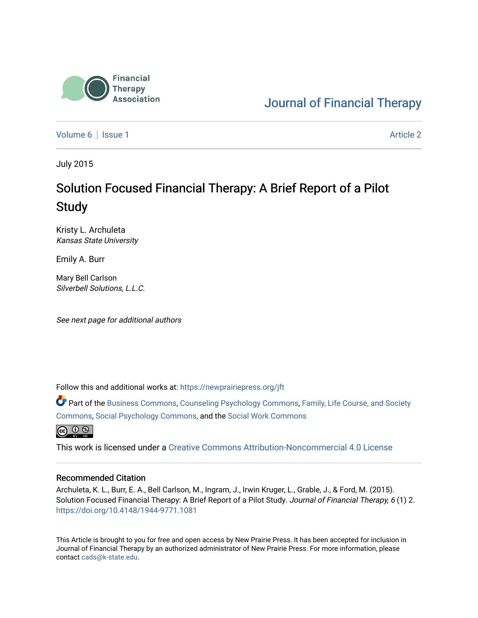

[Journal of Financial Therapy](https://newprairiepress.org/jft) 

[Volume 6](https://newprairiepress.org/jft/vol6) | [Issue 1](https://newprairiepress.org/jft/vol6/iss1) Article 2

July 2015

# Solution Focused Financial Therapy: A Brief Report of a Pilot **Study**

Kristy L. Archuleta Kansas State University

Emily A. Burr

Mary Bell Carlson Silverbell Solutions, L.L.C.

See next page for additional authors

Follow this and additional works at: [https://newprairiepress.org/jft](https://newprairiepress.org/jft?utm_source=newprairiepress.org%2Fjft%2Fvol6%2Fiss1%2F2&utm_medium=PDF&utm_campaign=PDFCoverPages)

Part of the [Business Commons](http://network.bepress.com/hgg/discipline/622?utm_source=newprairiepress.org%2Fjft%2Fvol6%2Fiss1%2F2&utm_medium=PDF&utm_campaign=PDFCoverPages), [Counseling Psychology Commons,](http://network.bepress.com/hgg/discipline/1044?utm_source=newprairiepress.org%2Fjft%2Fvol6%2Fiss1%2F2&utm_medium=PDF&utm_campaign=PDFCoverPages) [Family, Life Course, and Society](http://network.bepress.com/hgg/discipline/419?utm_source=newprairiepress.org%2Fjft%2Fvol6%2Fiss1%2F2&utm_medium=PDF&utm_campaign=PDFCoverPages)  [Commons](http://network.bepress.com/hgg/discipline/419?utm_source=newprairiepress.org%2Fjft%2Fvol6%2Fiss1%2F2&utm_medium=PDF&utm_campaign=PDFCoverPages), [Social Psychology Commons,](http://network.bepress.com/hgg/discipline/414?utm_source=newprairiepress.org%2Fjft%2Fvol6%2Fiss1%2F2&utm_medium=PDF&utm_campaign=PDFCoverPages) and the [Social Work Commons](http://network.bepress.com/hgg/discipline/713?utm_source=newprairiepress.org%2Fjft%2Fvol6%2Fiss1%2F2&utm_medium=PDF&utm_campaign=PDFCoverPages) 



This work is licensed under a [Creative Commons Attribution-Noncommercial 4.0 License](https://creativecommons.org/licenses/by-nc/4.0/)

#### Recommended Citation

Archuleta, K. L., Burr, E. A., Bell Carlson, M., Ingram, J., Irwin Kruger, L., Grable, J., & Ford, M. (2015). Solution Focused Financial Therapy: A Brief Report of a Pilot Study. Journal of Financial Therapy, 6 (1) 2. <https://doi.org/10.4148/1944-9771.1081>

This Article is brought to you for free and open access by New Prairie Press. It has been accepted for inclusion in Journal of Financial Therapy by an authorized administrator of New Prairie Press. For more information, please contact [cads@k-state.edu](mailto:cads@k-state.edu).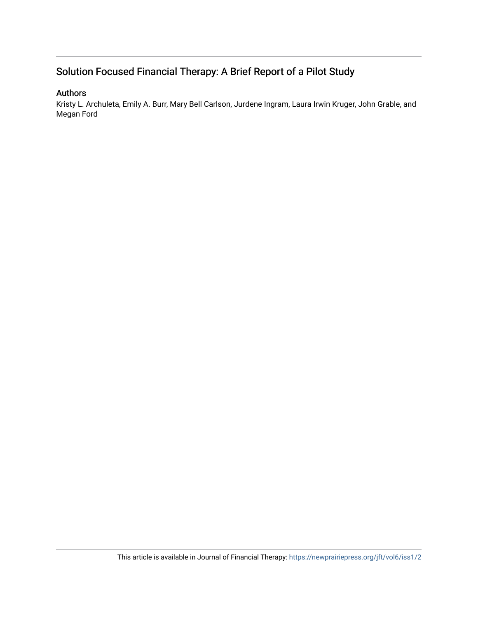#### Authors

Kristy L. Archuleta, Emily A. Burr, Mary Bell Carlson, Jurdene Ingram, Laura Irwin Kruger, John Grable, and Megan Ford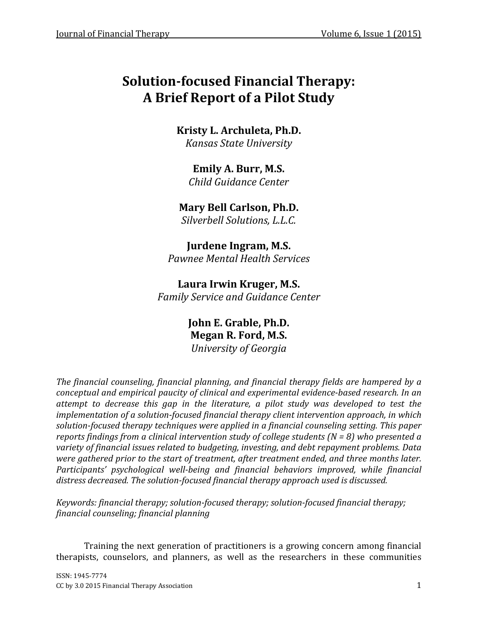Kristy L. Archuleta, Ph.D. Kansas State University

Emily A. Burr, M.S. Child Guidance Center

Mary Bell Carlson, Ph.D. Silverbell Solutions, L.L.C.

Jurdene Ingram, M.S. Pawnee Mental Health Services

Laura Irwin Kruger, M.S. Family Service and Guidance Center

> John E. Grable, Ph.D. Megan R. Ford, M.S. University of Georgia

The financial counseling, financial planning, and financial therapy fields are hampered by a conceptual and empirical paucity of clinical and experimental evidence-based research. In an attempt to decrease this gap in the literature, a pilot study was developed to test the implementation of a solution-focused financial therapy client intervention approach, in which solution-focused therapy techniques were applied in a financial counseling setting. This paper reports findings from a clinical intervention study of college students ( $N = 8$ ) who presented a variety of financial issues related to budgeting, investing, and debt repayment problems. Data were gathered prior to the start of treatment, after treatment ended, and three months later. Participants' psychological well-being and financial behaviors improved, while financial distress decreased. The solution-focused financial therapy approach used is discussed.

Keywords: financial therapy; solution-focused therapy; solution-focused financial therapy; financial counseling; financial planning

Training the next generation of practitioners is a growing concern among financial therapists, counselors, and planners, as well as the researchers in these communities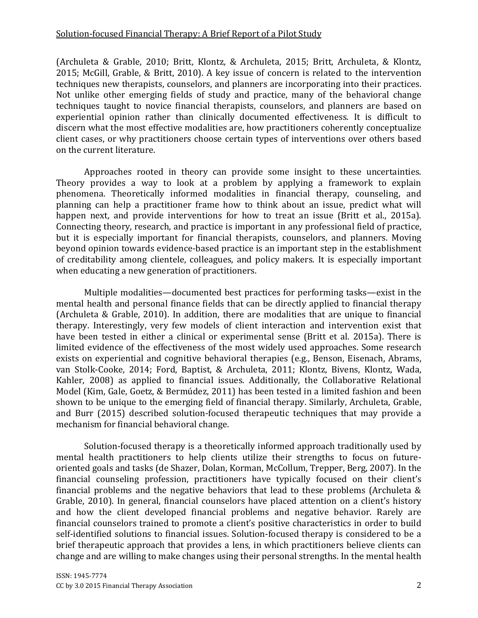(Archuleta & Grable, 2010; Britt, Klontz, & Archuleta, 2015; Britt, Archuleta, & Klontz, 2015; McGill, Grable, & Britt, 2010). A key issue of concern is related to the intervention techniques new therapists, counselors, and planners are incorporating into their practices. Not unlike other emerging fields of study and practice, many of the behavioral change techniques taught to novice financial therapists, counselors, and planners are based on experiential opinion rather than clinically documented effectiveness. It is difficult to discern what the most effective modalities are, how practitioners coherently conceptualize client cases, or why practitioners choose certain types of interventions over others based on the current literature.

Approaches rooted in theory can provide some insight to these uncertainties. Theory provides a way to look at a problem by applying a framework to explain phenomena. Theoretically informed modalities in financial therapy, counseling, and planning can help a practitioner frame how to think about an issue, predict what will happen next, and provide interventions for how to treat an issue (Britt et al., 2015a). Connecting theory, research, and practice is important in any professional field of practice, but it is especially important for financial therapists, counselors, and planners. Moving beyond opinion towards evidence-based practice is an important step in the establishment of creditability among clientele, colleagues, and policy makers. It is especially important when educating a new generation of practitioners.

Multiple modalities—documented best practices for performing tasks—exist in the mental health and personal finance fields that can be directly applied to financial therapy (Archuleta & Grable, 2010). In addition, there are modalities that are unique to financial therapy. Interestingly, very few models of client interaction and intervention exist that have been tested in either a clinical or experimental sense (Britt et al. 2015a). There is limited evidence of the effectiveness of the most widely used approaches. Some research exists on experiential and cognitive behavioral therapies (e.g., Benson, Eisenach, Abrams, van Stolk-Cooke, 2014; Ford, Baptist, & Archuleta, 2011; Klontz, Bivens, Klontz, Wada, Kahler, 2008) as applied to financial issues. Additionally, the Collaborative Relational Model (Kim, Gale, Goetz, & Bermúdez, 2011) has been tested in a limited fashion and been shown to be unique to the emerging field of financial therapy. Similarly, Archuleta, Grable, and Burr (2015) described solution-focused therapeutic techniques that may provide a mechanism for financial behavioral change.

Solution-focused therapy is a theoretically informed approach traditionally used by mental health practitioners to help clients utilize their strengths to focus on futureoriented goals and tasks (de Shazer, Dolan, Korman, McCollum, Trepper, Berg, 2007). In the financial counseling profession, practitioners have typically focused on their client's financial problems and the negative behaviors that lead to these problems (Archuleta & Grable, 2010). In general, financial counselors have placed attention on a client's history and how the client developed financial problems and negative behavior. Rarely are financial counselors trained to promote a client's positive characteristics in order to build self-identified solutions to financial issues. Solution-focused therapy is considered to be a brief therapeutic approach that provides a lens, in which practitioners believe clients can change and are willing to make changes using their personal strengths. In the mental health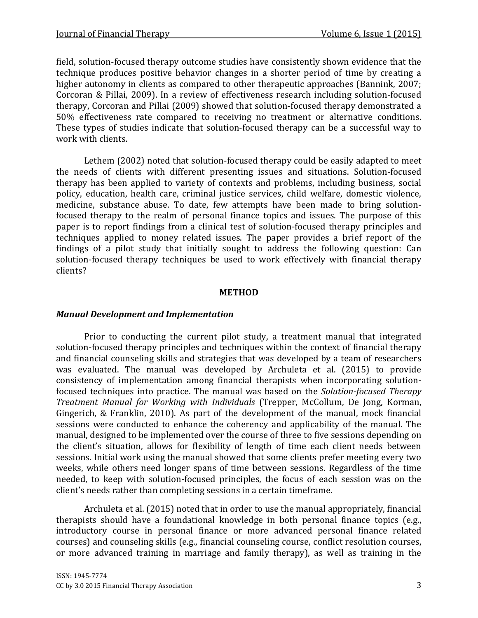field, solution-focused therapy outcome studies have consistently shown evidence that the technique produces positive behavior changes in a shorter period of time by creating a higher autonomy in clients as compared to other therapeutic approaches (Bannink, 2007; Corcoran & Pillai, 2009). In a review of effectiveness research including solution-focused therapy, Corcoran and Pillai (2009) showed that solution-focused therapy demonstrated a 50% effectiveness rate compared to receiving no treatment or alternative conditions. These types of studies indicate that solution-focused therapy can be a successful way to work with clients.

Lethem (2002) noted that solution-focused therapy could be easily adapted to meet the needs of clients with different presenting issues and situations. Solution-focused therapy has been applied to variety of contexts and problems, including business, social policy, education, health care, criminal justice services, child welfare, domestic violence, medicine, substance abuse. To date, few attempts have been made to bring solutionfocused therapy to the realm of personal finance topics and issues. The purpose of this paper is to report findings from a clinical test of solution-focused therapy principles and techniques applied to money related issues. The paper provides a brief report of the findings of a pilot study that initially sought to address the following question: Can solution-focused therapy techniques be used to work effectively with financial therapy clients?

#### METHOD

#### Manual Development and Implementation

Prior to conducting the current pilot study, a treatment manual that integrated solution-focused therapy principles and techniques within the context of financial therapy and financial counseling skills and strategies that was developed by a team of researchers was evaluated. The manual was developed by Archuleta et al. (2015) to provide consistency of implementation among financial therapists when incorporating solutionfocused techniques into practice. The manual was based on the Solution-focused Therapy Treatment Manual for Working with Individuals (Trepper, McCollum, De Jong, Korman, Gingerich, & Franklin, 2010). As part of the development of the manual, mock financial sessions were conducted to enhance the coherency and applicability of the manual. The manual, designed to be implemented over the course of three to five sessions depending on the client's situation, allows for flexibility of length of time each client needs between sessions. Initial work using the manual showed that some clients prefer meeting every two weeks, while others need longer spans of time between sessions. Regardless of the time needed, to keep with solution-focused principles, the focus of each session was on the client's needs rather than completing sessions in a certain timeframe.

Archuleta et al. (2015) noted that in order to use the manual appropriately, financial therapists should have a foundational knowledge in both personal finance topics (e.g., introductory course in personal finance or more advanced personal finance related courses) and counseling skills (e.g., financial counseling course, conflict resolution courses, or more advanced training in marriage and family therapy), as well as training in the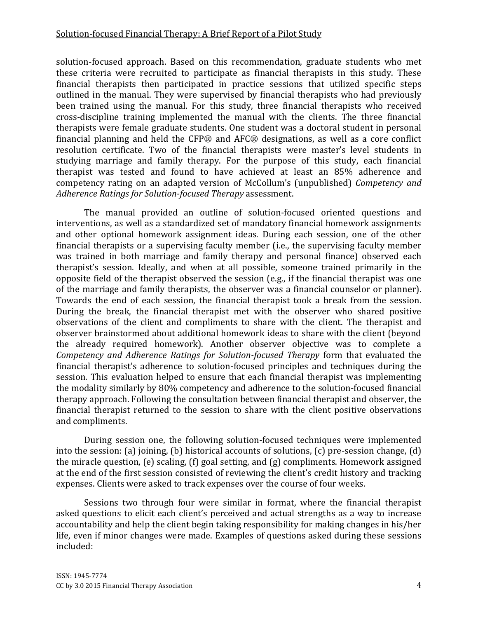solution-focused approach. Based on this recommendation, graduate students who met these criteria were recruited to participate as financial therapists in this study. These financial therapists then participated in practice sessions that utilized specific steps outlined in the manual. They were supervised by financial therapists who had previously been trained using the manual. For this study, three financial therapists who received cross-discipline training implemented the manual with the clients. The three financial therapists were female graduate students. One student was a doctoral student in personal financial planning and held the CFP® and AFC® designations, as well as a core conflict resolution certificate. Two of the financial therapists were master's level students in studying marriage and family therapy. For the purpose of this study, each financial therapist was tested and found to have achieved at least an 85% adherence and competency rating on an adapted version of McCollum's (unpublished) Competency and Adherence Ratings for Solution-focused Therapy assessment.

The manual provided an outline of solution-focused oriented questions and interventions, as well as a standardized set of mandatory financial homework assignments and other optional homework assignment ideas. During each session, one of the other financial therapists or a supervising faculty member (i.e., the supervising faculty member was trained in both marriage and family therapy and personal finance) observed each therapist's session. Ideally, and when at all possible, someone trained primarily in the opposite field of the therapist observed the session (e.g., if the financial therapist was one of the marriage and family therapists, the observer was a financial counselor or planner). Towards the end of each session, the financial therapist took a break from the session. During the break, the financial therapist met with the observer who shared positive observations of the client and compliments to share with the client. The therapist and observer brainstormed about additional homework ideas to share with the client (beyond the already required homework). Another observer objective was to complete a Competency and Adherence Ratings for Solution-focused Therapy form that evaluated the financial therapist's adherence to solution-focused principles and techniques during the session. This evaluation helped to ensure that each financial therapist was implementing the modality similarly by 80% competency and adherence to the solution-focused financial therapy approach. Following the consultation between financial therapist and observer, the financial therapist returned to the session to share with the client positive observations and compliments.

During session one, the following solution-focused techniques were implemented into the session: (a) joining, (b) historical accounts of solutions, (c) pre-session change, (d) the miracle question, (e) scaling, (f) goal setting, and (g) compliments. Homework assigned at the end of the first session consisted of reviewing the client's credit history and tracking expenses. Clients were asked to track expenses over the course of four weeks.

Sessions two through four were similar in format, where the financial therapist asked questions to elicit each client's perceived and actual strengths as a way to increase accountability and help the client begin taking responsibility for making changes in his/her life, even if minor changes were made. Examples of questions asked during these sessions included: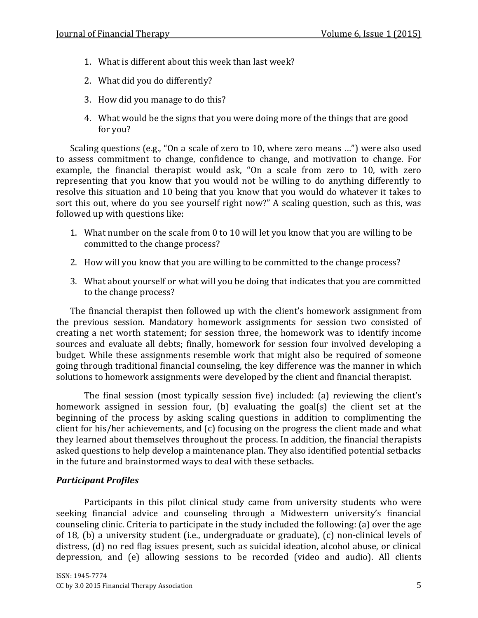- 1. What is different about this week than last week?
- 2. What did you do differently?
- 3. How did you manage to do this?
- 4. What would be the signs that you were doing more of the things that are good for you?

Scaling questions (e.g., "On a scale of zero to 10, where zero means …") were also used to assess commitment to change, confidence to change, and motivation to change. For example, the financial therapist would ask, "On a scale from zero to 10, with zero representing that you know that you would not be willing to do anything differently to resolve this situation and 10 being that you know that you would do whatever it takes to sort this out, where do you see yourself right now?" A scaling question, such as this, was followed up with questions like:

- 1. What number on the scale from 0 to 10 will let you know that you are willing to be committed to the change process?
- 2. How will you know that you are willing to be committed to the change process?
- 3. What about yourself or what will you be doing that indicates that you are committed to the change process?

The financial therapist then followed up with the client's homework assignment from the previous session. Mandatory homework assignments for session two consisted of creating a net worth statement; for session three, the homework was to identify income sources and evaluate all debts; finally, homework for session four involved developing a budget. While these assignments resemble work that might also be required of someone going through traditional financial counseling, the key difference was the manner in which solutions to homework assignments were developed by the client and financial therapist.

The final session (most typically session five) included: (a) reviewing the client's homework assigned in session four, (b) evaluating the goal(s) the client set at the beginning of the process by asking scaling questions in addition to complimenting the client for his/her achievements, and (c) focusing on the progress the client made and what they learned about themselves throughout the process. In addition, the financial therapists asked questions to help develop a maintenance plan. They also identified potential setbacks in the future and brainstormed ways to deal with these setbacks.

## Participant Profiles

Participants in this pilot clinical study came from university students who were seeking financial advice and counseling through a Midwestern university's financial counseling clinic. Criteria to participate in the study included the following: (a) over the age of 18, (b) a university student (i.e., undergraduate or graduate), (c) non-clinical levels of distress, (d) no red flag issues present, such as suicidal ideation, alcohol abuse, or clinical depression, and (e) allowing sessions to be recorded (video and audio). All clients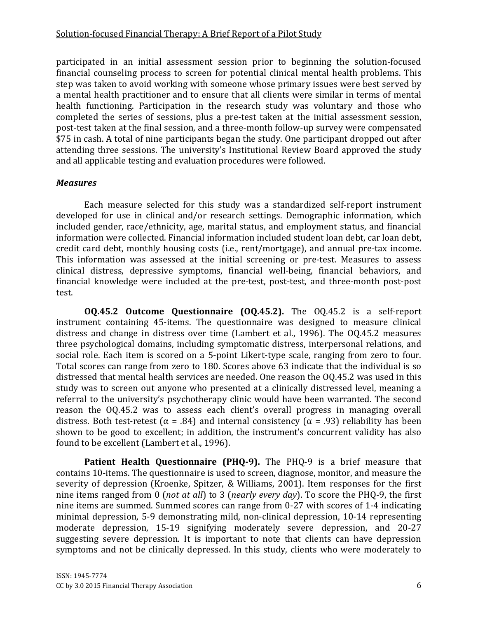participated in an initial assessment session prior to beginning the solution-focused financial counseling process to screen for potential clinical mental health problems. This step was taken to avoid working with someone whose primary issues were best served by a mental health practitioner and to ensure that all clients were similar in terms of mental health functioning. Participation in the research study was voluntary and those who completed the series of sessions, plus a pre-test taken at the initial assessment session, post-test taken at the final session, and a three-month follow-up survey were compensated \$75 in cash. A total of nine participants began the study. One participant dropped out after attending three sessions. The university's Institutional Review Board approved the study and all applicable testing and evaluation procedures were followed.

#### **Measures**

Each measure selected for this study was a standardized self-report instrument developed for use in clinical and/or research settings. Demographic information, which included gender, race/ethnicity, age, marital status, and employment status, and financial information were collected. Financial information included student loan debt, car loan debt, credit card debt, monthly housing costs (i.e., rent/mortgage), and annual pre-tax income. This information was assessed at the initial screening or pre-test. Measures to assess clinical distress, depressive symptoms, financial well-being, financial behaviors, and financial knowledge were included at the pre-test, post-test, and three-month post-post test.

OQ.45.2 Outcome Questionnaire (OQ.45.2). The OQ.45.2 is a self-report instrument containing 45-items. The questionnaire was designed to measure clinical distress and change in distress over time (Lambert et al., 1996). The OQ.45.2 measures three psychological domains, including symptomatic distress, interpersonal relations, and social role. Each item is scored on a 5-point Likert-type scale, ranging from zero to four. Total scores can range from zero to 180. Scores above 63 indicate that the individual is so distressed that mental health services are needed. One reason the OQ.45.2 was used in this study was to screen out anyone who presented at a clinically distressed level, meaning a referral to the university's psychotherapy clinic would have been warranted. The second reason the OQ.45.2 was to assess each client's overall progress in managing overall distress. Both test-retest ( $\alpha$  = .84) and internal consistency ( $\alpha$  = .93) reliability has been shown to be good to excellent; in addition, the instrument's concurrent validity has also found to be excellent (Lambert et al., 1996).

Patient Health Questionnaire (PHQ-9). The PHQ-9 is a brief measure that contains 10-items. The questionnaire is used to screen, diagnose, monitor, and measure the severity of depression (Kroenke, Spitzer, & Williams, 2001). Item responses for the first nine items ranged from 0 (not at all) to 3 (nearly every day). To score the PHQ-9, the first nine items are summed. Summed scores can range from 0-27 with scores of 1-4 indicating minimal depression, 5-9 demonstrating mild, non-clinical depression, 10-14 representing moderate depression, 15-19 signifying moderately severe depression, and 20-27 suggesting severe depression. It is important to note that clients can have depression symptoms and not be clinically depressed. In this study, clients who were moderately to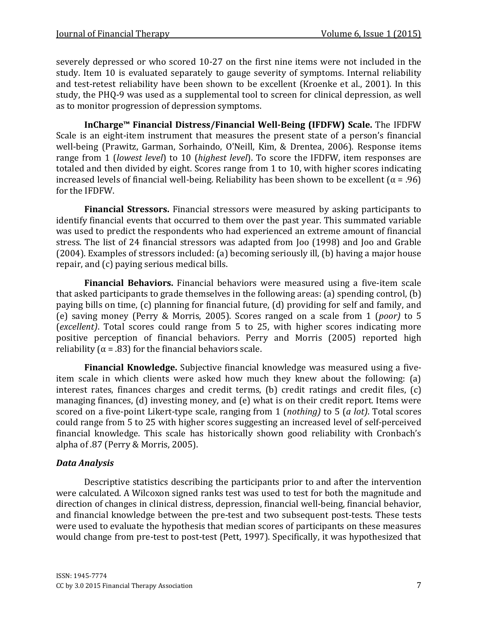severely depressed or who scored 10-27 on the first nine items were not included in the study. Item 10 is evaluated separately to gauge severity of symptoms. Internal reliability and test-retest reliability have been shown to be excellent (Kroenke et al., 2001). In this study, the PHQ-9 was used as a supplemental tool to screen for clinical depression, as well as to monitor progression of depression symptoms.

InCharge™ Financial Distress/Financial Well-Being (IFDFW) Scale. The IFDFW Scale is an eight-item instrument that measures the present state of a person's financial well-being (Prawitz, Garman, Sorhaindo, O'Neill, Kim, & Drentea, 2006). Response items range from 1 (lowest level) to 10 (highest level). To score the IFDFW, item responses are totaled and then divided by eight. Scores range from 1 to 10, with higher scores indicating increased levels of financial well-being. Reliability has been shown to be excellent (α = .96) for the IFDFW.

Financial Stressors. Financial stressors were measured by asking participants to identify financial events that occurred to them over the past year. This summated variable was used to predict the respondents who had experienced an extreme amount of financial stress. The list of 24 financial stressors was adapted from Joo (1998) and Joo and Grable (2004). Examples of stressors included: (a) becoming seriously ill, (b) having a major house repair, and (c) paying serious medical bills.

Financial Behaviors. Financial behaviors were measured using a five-item scale that asked participants to grade themselves in the following areas: (a) spending control, (b) paying bills on time, (c) planning for financial future, (d) providing for self and family, and (e) saving money (Perry & Morris, 2005). Scores ranged on a scale from 1 (poor) to 5 (excellent). Total scores could range from 5 to 25, with higher scores indicating more positive perception of financial behaviors. Perry and Morris (2005) reported high reliability ( $\alpha$  = .83) for the financial behaviors scale.

Financial Knowledge. Subjective financial knowledge was measured using a fiveitem scale in which clients were asked how much they knew about the following: (a) interest rates, finances charges and credit terms, (b) credit ratings and credit files, (c) managing finances, (d) investing money, and (e) what is on their credit report. Items were scored on a five-point Likert-type scale, ranging from 1 (nothing) to 5 (a lot). Total scores could range from 5 to 25 with higher scores suggesting an increased level of self-perceived financial knowledge. This scale has historically shown good reliability with Cronbach's alpha of .87 (Perry & Morris, 2005).

## Data Analysis

Descriptive statistics describing the participants prior to and after the intervention were calculated. A Wilcoxon signed ranks test was used to test for both the magnitude and direction of changes in clinical distress, depression, financial well-being, financial behavior, and financial knowledge between the pre-test and two subsequent post-tests. These tests were used to evaluate the hypothesis that median scores of participants on these measures would change from pre-test to post-test (Pett, 1997). Specifically, it was hypothesized that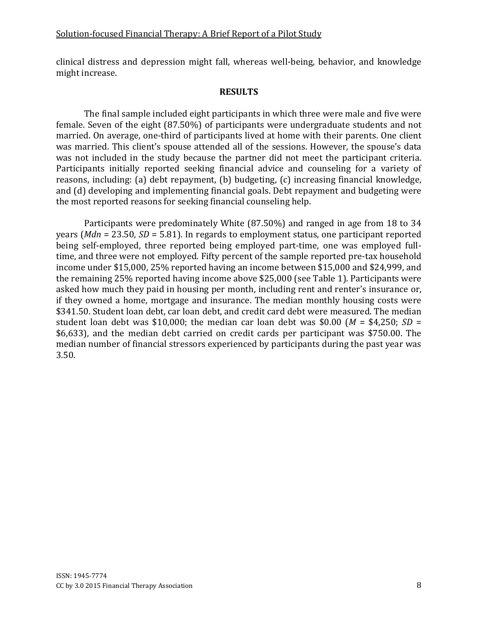clinical distress and depression might fall, whereas well-being, behavior, and knowledge might increase.

#### RESULTS

The final sample included eight participants in which three were male and five were female. Seven of the eight (87.50%) of participants were undergraduate students and not married. On average, one-third of participants lived at home with their parents. One client was married. This client's spouse attended all of the sessions. However, the spouse's data was not included in the study because the partner did not meet the participant criteria. Participants initially reported seeking financial advice and counseling for a variety of reasons, including: (a) debt repayment, (b) budgeting, (c) increasing financial knowledge, and (d) developing and implementing financial goals. Debt repayment and budgeting were the most reported reasons for seeking financial counseling help.

Participants were predominately White (87.50%) and ranged in age from 18 to 34 years (*Mdn* = 23.50, *SD* = 5.81). In regards to employment status, one participant reported being self-employed, three reported being employed part-time, one was employed fulltime, and three were not employed. Fifty percent of the sample reported pre-tax household income under \$15,000, 25% reported having an income between \$15,000 and \$24,999, and the remaining 25% reported having income above \$25,000 (see Table 1). Participants were asked how much they paid in housing per month, including rent and renter's insurance or, if they owned a home, mortgage and insurance. The median monthly housing costs were \$341.50. Student loan debt, car loan debt, and credit card debt were measured. The median student loan debt was \$10,000; the median car loan debt was \$0.00 ( $M = 4,250$ ; SD = \$6,633), and the median debt carried on credit cards per participant was \$750.00. The median number of financial stressors experienced by participants during the past year was 3.50.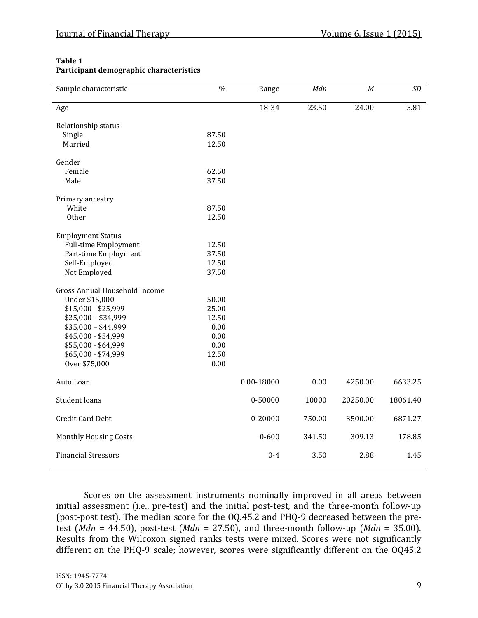#### Table 1 Participant demographic characteristics

| Sample characteristic         | $\frac{0}{0}$ | Range      | Mdn    | $\cal M$ | SD       |
|-------------------------------|---------------|------------|--------|----------|----------|
| Age                           |               | 18-34      | 23.50  | 24.00    | 5.81     |
| Relationship status           |               |            |        |          |          |
| Single                        | 87.50         |            |        |          |          |
| Married                       | 12.50         |            |        |          |          |
| Gender                        |               |            |        |          |          |
| Female                        | 62.50         |            |        |          |          |
| Male                          | 37.50         |            |        |          |          |
| Primary ancestry              |               |            |        |          |          |
| White                         | 87.50         |            |        |          |          |
| Other                         | 12.50         |            |        |          |          |
| <b>Employment Status</b>      |               |            |        |          |          |
| <b>Full-time Employment</b>   | 12.50         |            |        |          |          |
| Part-time Employment          | 37.50         |            |        |          |          |
| Self-Employed                 | 12.50         |            |        |          |          |
| Not Employed                  | 37.50         |            |        |          |          |
| Gross Annual Household Income |               |            |        |          |          |
| Under \$15,000                | 50.00         |            |        |          |          |
| \$15,000 - \$25,999           | 25.00         |            |        |          |          |
| $$25,000 - $34,999$           | 12.50         |            |        |          |          |
| $$35,000 - $44,999$           | 0.00          |            |        |          |          |
| \$45,000 - \$54,999           | 0.00          |            |        |          |          |
| \$55,000 - \$64,999           | 0.00          |            |        |          |          |
| \$65,000 - \$74,999           | 12.50         |            |        |          |          |
| Over \$75,000                 | 0.00          |            |        |          |          |
| Auto Loan                     |               | 0.00-18000 | 0.00   | 4250.00  | 6633.25  |
| Student loans                 |               | 0-50000    | 10000  | 20250.00 | 18061.40 |
| Credit Card Debt              |               | 0-20000    | 750.00 | 3500.00  | 6871.27  |
| <b>Monthly Housing Costs</b>  |               | $0 - 600$  | 341.50 | 309.13   | 178.85   |
| <b>Financial Stressors</b>    |               | $0 - 4$    | 3.50   | 2.88     | 1.45     |

Scores on the assessment instruments nominally improved in all areas between initial assessment (i.e., pre-test) and the initial post-test, and the three-month follow-up (post-post test). The median score for the OQ.45.2 and PHQ-9 decreased between the pretest (*Mdn* = 44.50), post-test (*Mdn* = 27.50), and three-month follow-up (*Mdn* = 35.00). Results from the Wilcoxon signed ranks tests were mixed. Scores were not significantly different on the PHQ-9 scale; however, scores were significantly different on the OQ45.2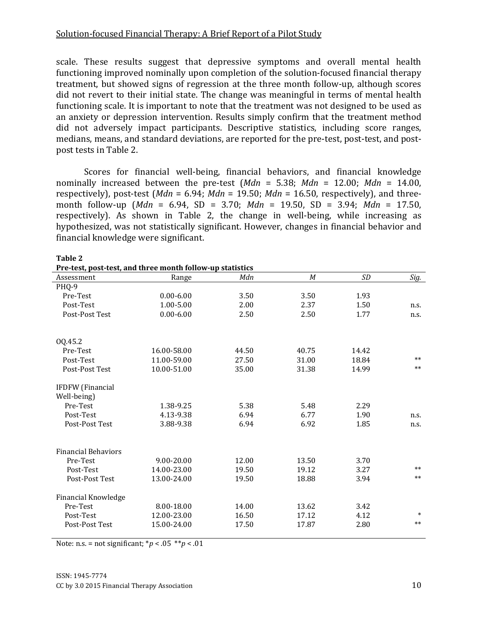scale. These results suggest that depressive symptoms and overall mental health functioning improved nominally upon completion of the solution-focused financial therapy treatment, but showed signs of regression at the three month follow-up, although scores did not revert to their initial state. The change was meaningful in terms of mental health functioning scale. It is important to note that the treatment was not designed to be used as an anxiety or depression intervention. Results simply confirm that the treatment method did not adversely impact participants. Descriptive statistics, including score ranges, medians, means, and standard deviations, are reported for the pre-test, post-test, and postpost tests in Table 2.

Scores for financial well-being, financial behaviors, and financial knowledge nominally increased between the pre-test  $(Mdn = 5.38; Mdn = 12.00; Mdn = 14.00$ . respectively), post-test (*Mdn* = 6.94; *Mdn* = 19.50; *Mdn* = 16.50, respectively), and threemonth follow-up (Mdn = 6.94, SD = 3.70; Mdn = 19.50, SD = 3.94; Mdn = 17.50, respectively). As shown in Table 2, the change in well-being, while increasing as hypothesized, was not statistically significant. However, changes in financial behavior and financial knowledge were significant.

| Pre-test, post-test, and three month follow-up statistics |               |       |                  |       |        |  |  |  |  |
|-----------------------------------------------------------|---------------|-------|------------------|-------|--------|--|--|--|--|
| Assessment                                                | Range         | Mdn   | $\boldsymbol{M}$ | SD    | Sig.   |  |  |  |  |
| PHQ-9                                                     |               |       |                  |       |        |  |  |  |  |
| Pre-Test                                                  | $0.00 - 6.00$ | 3.50  | 3.50             | 1.93  |        |  |  |  |  |
| Post-Test                                                 | 1.00-5.00     | 2.00  | 2.37             | 1.50  | n.s.   |  |  |  |  |
| Post-Post Test                                            | $0.00 - 6.00$ | 2.50  | 2.50             | 1.77  | n.s.   |  |  |  |  |
| 0Q.45.2                                                   |               |       |                  |       |        |  |  |  |  |
| Pre-Test                                                  | 16.00-58.00   | 44.50 | 40.75            | 14.42 |        |  |  |  |  |
| Post-Test                                                 | 11.00-59.00   | 27.50 | 31.00            | 18.84 | $**$   |  |  |  |  |
| Post-Post Test                                            | 10.00-51.00   | 35.00 | 31.38            | 14.99 | $***$  |  |  |  |  |
| <b>IFDFW</b> (Financial                                   |               |       |                  |       |        |  |  |  |  |
| Well-being)                                               |               |       |                  |       |        |  |  |  |  |
| Pre-Test                                                  | 1.38-9.25     | 5.38  | 5.48             | 2.29  |        |  |  |  |  |
| Post-Test                                                 | 4.13-9.38     | 6.94  | 6.77             | 1.90  | n.s.   |  |  |  |  |
| Post-Post Test                                            | 3.88-9.38     | 6.94  | 6.92             | 1.85  | n.s.   |  |  |  |  |
| <b>Financial Behaviors</b>                                |               |       |                  |       |        |  |  |  |  |
| Pre-Test                                                  | 9.00-20.00    | 12.00 | 13.50            | 3.70  |        |  |  |  |  |
| Post-Test                                                 | 14.00-23.00   | 19.50 | 19.12            | 3.27  | $**$   |  |  |  |  |
| Post-Post Test                                            | 13.00-24.00   | 19.50 | 18.88            | 3.94  | $***$  |  |  |  |  |
| <b>Financial Knowledge</b>                                |               |       |                  |       |        |  |  |  |  |
| Pre-Test                                                  | 8.00-18.00    | 14.00 | 13.62            | 3.42  |        |  |  |  |  |
| Post-Test                                                 | 12.00-23.00   | 16.50 | 17.12            | 4.12  | $\ast$ |  |  |  |  |
| Post-Post Test                                            | 15.00-24.00   | 17.50 | 17.87            | 2.80  | $**$   |  |  |  |  |

Table 2

Note: n.s. = not significant;  $p < .05 \cdot p < .01$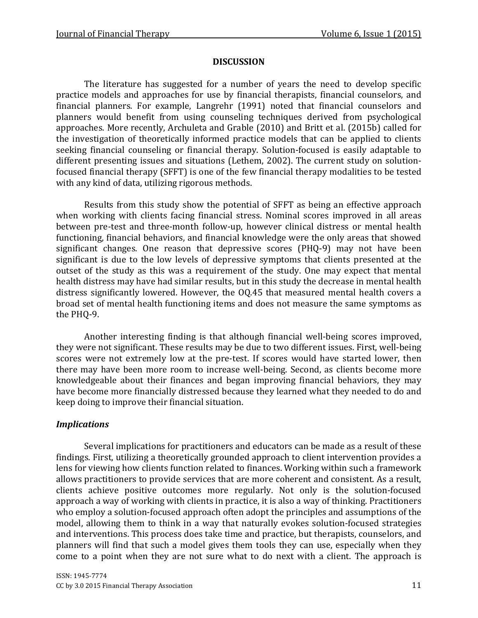#### **DISCUSSION**

The literature has suggested for a number of years the need to develop specific practice models and approaches for use by financial therapists, financial counselors, and financial planners. For example, Langrehr (1991) noted that financial counselors and planners would benefit from using counseling techniques derived from psychological approaches. More recently, Archuleta and Grable (2010) and Britt et al. (2015b) called for the investigation of theoretically informed practice models that can be applied to clients seeking financial counseling or financial therapy. Solution-focused is easily adaptable to different presenting issues and situations (Lethem, 2002). The current study on solutionfocused financial therapy (SFFT) is one of the few financial therapy modalities to be tested with any kind of data, utilizing rigorous methods.

Results from this study show the potential of SFFT as being an effective approach when working with clients facing financial stress. Nominal scores improved in all areas between pre-test and three-month follow-up, however clinical distress or mental health functioning, financial behaviors, and financial knowledge were the only areas that showed significant changes. One reason that depressive scores (PHQ-9) may not have been significant is due to the low levels of depressive symptoms that clients presented at the outset of the study as this was a requirement of the study. One may expect that mental health distress may have had similar results, but in this study the decrease in mental health distress significantly lowered. However, the OQ.45 that measured mental health covers a broad set of mental health functioning items and does not measure the same symptoms as the PHQ-9.

Another interesting finding is that although financial well-being scores improved, they were not significant. These results may be due to two different issues. First, well-being scores were not extremely low at the pre-test. If scores would have started lower, then there may have been more room to increase well-being. Second, as clients become more knowledgeable about their finances and began improving financial behaviors, they may have become more financially distressed because they learned what they needed to do and keep doing to improve their financial situation.

#### Implications

Several implications for practitioners and educators can be made as a result of these findings. First, utilizing a theoretically grounded approach to client intervention provides a lens for viewing how clients function related to finances. Working within such a framework allows practitioners to provide services that are more coherent and consistent. As a result, clients achieve positive outcomes more regularly. Not only is the solution-focused approach a way of working with clients in practice, it is also a way of thinking. Practitioners who employ a solution-focused approach often adopt the principles and assumptions of the model, allowing them to think in a way that naturally evokes solution-focused strategies and interventions. This process does take time and practice, but therapists, counselors, and planners will find that such a model gives them tools they can use, especially when they come to a point when they are not sure what to do next with a client. The approach is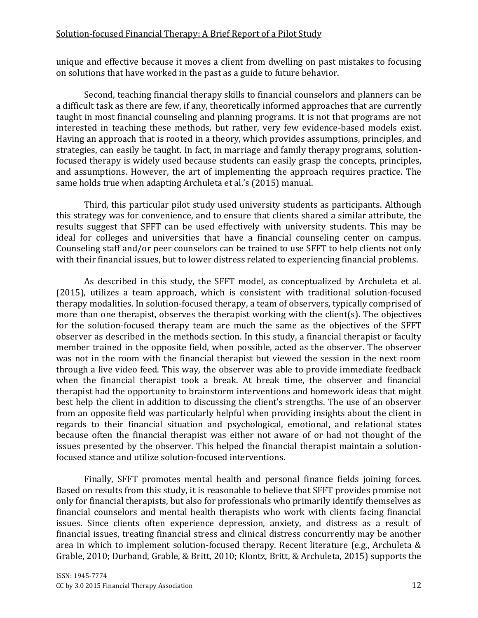unique and effective because it moves a client from dwelling on past mistakes to focusing on solutions that have worked in the past as a guide to future behavior.

Second, teaching financial therapy skills to financial counselors and planners can be a difficult task as there are few, if any, theoretically informed approaches that are currently taught in most financial counseling and planning programs. It is not that programs are not interested in teaching these methods, but rather, very few evidence-based models exist. Having an approach that is rooted in a theory, which provides assumptions, principles, and strategies, can easily be taught. In fact, in marriage and family therapy programs, solutionfocused therapy is widely used because students can easily grasp the concepts, principles, and assumptions. However, the art of implementing the approach requires practice. The same holds true when adapting Archuleta et al.'s (2015) manual.

Third, this particular pilot study used university students as participants. Although this strategy was for convenience, and to ensure that clients shared a similar attribute, the results suggest that SFFT can be used effectively with university students. This may be ideal for colleges and universities that have a financial counseling center on campus. Counseling staff and/or peer counselors can be trained to use SFFT to help clients not only with their financial issues, but to lower distress related to experiencing financial problems.

As described in this study, the SFFT model, as conceptualized by Archuleta et al. (2015), utilizes a team approach, which is consistent with traditional solution-focused therapy modalities. In solution-focused therapy, a team of observers, typically comprised of more than one therapist, observes the therapist working with the client(s). The objectives for the solution-focused therapy team are much the same as the objectives of the SFFT observer as described in the methods section. In this study, a financial therapist or faculty member trained in the opposite field, when possible, acted as the observer. The observer was not in the room with the financial therapist but viewed the session in the next room through a live video feed. This way, the observer was able to provide immediate feedback when the financial therapist took a break. At break time, the observer and financial therapist had the opportunity to brainstorm interventions and homework ideas that might best help the client in addition to discussing the client's strengths. The use of an observer from an opposite field was particularly helpful when providing insights about the client in regards to their financial situation and psychological, emotional, and relational states because often the financial therapist was either not aware of or had not thought of the issues presented by the observer. This helped the financial therapist maintain a solutionfocused stance and utilize solution-focused interventions.

Finally, SFFT promotes mental health and personal finance fields joining forces. Based on results from this study, it is reasonable to believe that SFFT provides promise not only for financial therapists, but also for professionals who primarily identify themselves as financial counselors and mental health therapists who work with clients facing financial issues. Since clients often experience depression, anxiety, and distress as a result of financial issues, treating financial stress and clinical distress concurrently may be another area in which to implement solution-focused therapy. Recent literature (e.g., Archuleta & Grable, 2010; Durband, Grable, & Britt, 2010; Klontz, Britt, & Archuleta, 2015) supports the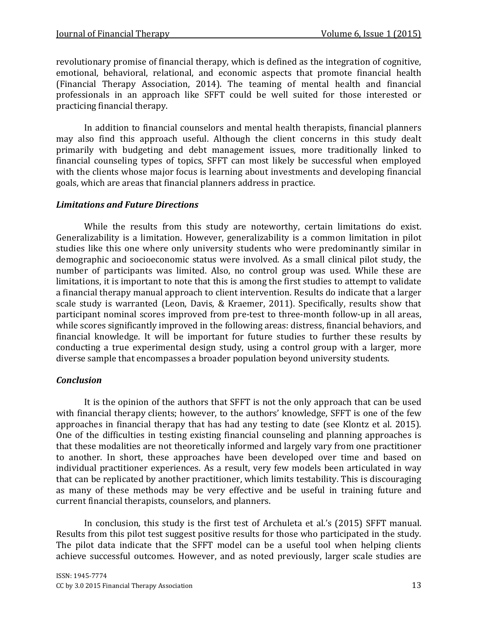revolutionary promise of financial therapy, which is defined as the integration of cognitive, emotional, behavioral, relational, and economic aspects that promote financial health (Financial Therapy Association, 2014). The teaming of mental health and financial professionals in an approach like SFFT could be well suited for those interested or practicing financial therapy.

In addition to financial counselors and mental health therapists, financial planners may also find this approach useful. Although the client concerns in this study dealt primarily with budgeting and debt management issues, more traditionally linked to financial counseling types of topics, SFFT can most likely be successful when employed with the clients whose major focus is learning about investments and developing financial goals, which are areas that financial planners address in practice.

#### Limitations and Future Directions

While the results from this study are noteworthy, certain limitations do exist. Generalizability is a limitation. However, generalizability is a common limitation in pilot studies like this one where only university students who were predominantly similar in demographic and socioeconomic status were involved. As a small clinical pilot study, the number of participants was limited. Also, no control group was used. While these are limitations, it is important to note that this is among the first studies to attempt to validate a financial therapy manual approach to client intervention. Results do indicate that a larger scale study is warranted (Leon, Davis, & Kraemer, 2011). Specifically, results show that participant nominal scores improved from pre-test to three-month follow-up in all areas, while scores significantly improved in the following areas: distress, financial behaviors, and financial knowledge. It will be important for future studies to further these results by conducting a true experimental design study, using a control group with a larger, more diverse sample that encompasses a broader population beyond university students.

#### **Conclusion**

It is the opinion of the authors that SFFT is not the only approach that can be used with financial therapy clients; however, to the authors' knowledge, SFFT is one of the few approaches in financial therapy that has had any testing to date (see Klontz et al. 2015). One of the difficulties in testing existing financial counseling and planning approaches is that these modalities are not theoretically informed and largely vary from one practitioner to another. In short, these approaches have been developed over time and based on individual practitioner experiences. As a result, very few models been articulated in way that can be replicated by another practitioner, which limits testability. This is discouraging as many of these methods may be very effective and be useful in training future and current financial therapists, counselors, and planners.

In conclusion, this study is the first test of Archuleta et al.'s (2015) SFFT manual. Results from this pilot test suggest positive results for those who participated in the study. The pilot data indicate that the SFFT model can be a useful tool when helping clients achieve successful outcomes. However, and as noted previously, larger scale studies are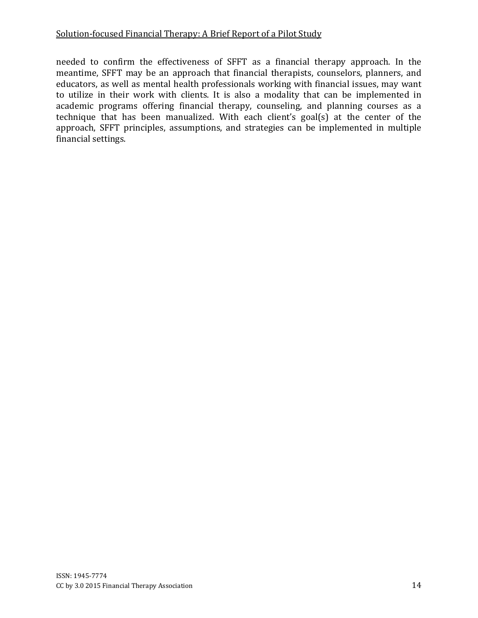needed to confirm the effectiveness of SFFT as a financial therapy approach. In the meantime, SFFT may be an approach that financial therapists, counselors, planners, and educators, as well as mental health professionals working with financial issues, may want to utilize in their work with clients. It is also a modality that can be implemented in academic programs offering financial therapy, counseling, and planning courses as a technique that has been manualized. With each client's goal(s) at the center of the approach, SFFT principles, assumptions, and strategies can be implemented in multiple financial settings.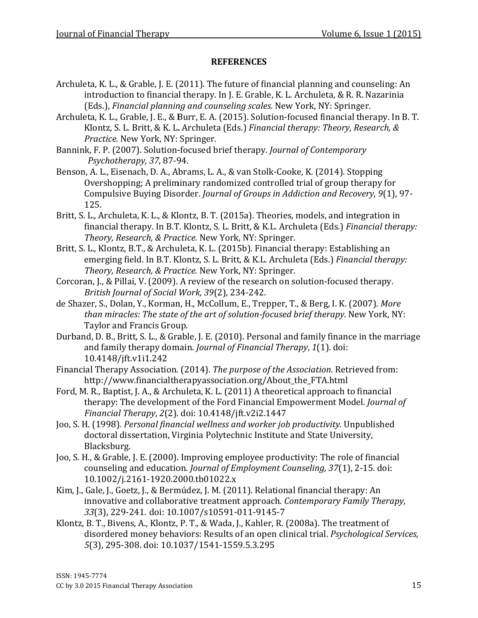- Archuleta, K. L., & Grable, J. E. (2011). The future of financial planning and counseling: An introduction to financial therapy. In J. E. Grable, K. L. Archuleta Archuleta, & R. R. Nazarinia Nazarinia (Eds.), Financial planning and counseling scales . New York, NY: Springer.
- (Eds.), *Financial planning and counseling scales*. New York, NY: Springer.<br>Archuleta, K. L., Grable, J. E., & Burr, E. A. (2015). Solution-focused financial therapy. In B. T. Klontz, S. L. Britt, & K. L. Archuleta (Eds.) *Financial therapy: Theory, Research, &*<br>*Practice.* New York, NY: Springer.<br>k, F. P. (2007). Solution-focused brief therapy. Journal of Contemporary Practice. New York, NY: Springer.
- Bannink, F. P. (2007). Solution-focused brief therapy. Journal of Contemporary Psychotherapy, 37, 87-94.
- Benson, A. L., Eisenach, D. A., Abrams, L. A., & van Stolk-Cooke, K. (2014). Stopping Overshopping; A preliminary randomized controlled trial of group therapy for Compulsive Buying Disorder. Journal of Groups in Addiction and Recovery, 9(1), 97-125. **REFERENCES**<br> **REFERENCES**<br>
introduction to financial therapy. In J. E. Grable (Eds.). Financial planning and counseling scale<br>
uleta, K. L., Grable, J. E., & Burr, E. A. (2015). Solu<br>
introduction. Solution for the and c
- Britt, S. L., Archuleta, K. L., & Klontz, B. T. (2015a). Theories, models, and integration in financial therapy. In B.T. Klontz, S. L. Britt, & K.L. Archuleta (Eds.) *Financial therapy:* Theory, Research, & Practice. New York, NY: Springer.
- Britt, S. L., Klontz, B.T., & Archuleta, K. L. (2015b). Financial therapy: Establishing an<br>emerging field. In B.T. Klontz, S. L. Britt, & K.L. Archuleta (Eds.) *Financial there*<br>*Theory, Research, & Practice.* New York, NY emerging field. In B.T. Klontz, S. L. Britt, & K.L. Archuleta (Eds.) Financial therapy: Theory, Research, & Practice. New York, NY: Springer.
- Corcoran, J., & Pillai, V. (2009). A review of the research on solution-focused therapy. British Journal of Social Work, 39(2), 234-242.
- de Shazer, S., Dolan, Y., Korman, H., McCollum, E., Trepper, T., & Berg, I. K. (2007). More than miracles: The state of the art of solution-focused brief therapy. New York, NY: Taylor and Francis Group.
- Taylor and Francis Group.<br>Durband, D. B., Britt, S. L., & Grable, J. E. (2010). Personal and family finance in the marriage and family therapy domain. Journal of Financial Therapy, 1(1). doi: 10.4148/jft.v1i1.242
- Financial Therapy Association. (2014). The purpose of the Association. Retrieved from: http://www.financialtherapyassociation.org/About\_the\_FTA.html http://www.financialtherapyassociation.org/About\_the\_FTA.html
- Ford, M. R., Baptist, J. A., & Archuleta, K. L. (2011) A theoretical approach to financial 1. R., Baptist, J. A., & Archuleta, K. L. (2011) A theoretical approach to financial<br>therapy: The development of the Ford Financial Empowerment Model. *Journal of* Financial Therapy, 2(2). (2). doi: 10.4148/jft.v2i2.1447
- Joo, S. H. (1998). *Personal financial wellness and worker job productivity.* Unpublished doctoral dissertation, Virginia Polytechnic Institute and State University, Blacksburg. doctoral dissertation, Virginia Polytechnic Institute and State University,<br>Blacksburg.<br>Joo, S. H., & Grable, J. E. (2000). Improving employee productivity: The role of financial
- counseling and education. Journal of Employment Counseling, 37(1), 2-15. doi: 10.1002/j.2161-1920.2000.tb01022 1920.2000.tb01022.x
- Kim, J., Gale, J., Goetz, J., & Bermúdez, J. M. (2011). Relational financial therapy: An innovative and collaborative treatment approach. Contemporary Family Therapy, Therapy, 33(3), 229-241. doi: 10.100 10.1007/s10591-011-9145-7
- Klontz, B. T., Bivens, A., Klontz, P. T., & Wada, J., Kahler, R. (2008a). The treatment of disordered money behaviors: Results of an open clinical trial. Psychological Services, 5(3), 295-308. doi: 10.1037/1541 10.1037/1541-1559.5.3.295